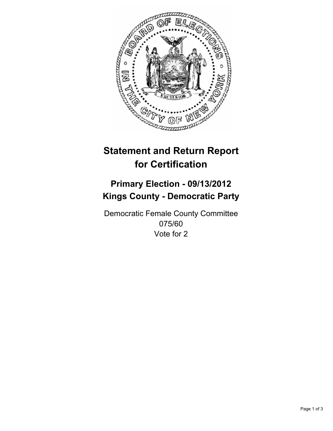

# **Statement and Return Report for Certification**

## **Primary Election - 09/13/2012 Kings County - Democratic Party**

Democratic Female County Committee 075/60 Vote for 2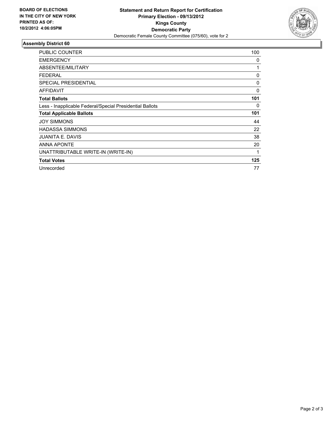

### **Assembly District 60**

| <b>PUBLIC COUNTER</b>                                    | 100 |
|----------------------------------------------------------|-----|
| <b>EMERGENCY</b>                                         | 0   |
| ABSENTEE/MILITARY                                        | 1   |
| <b>FEDERAL</b>                                           | 0   |
| <b>SPECIAL PRESIDENTIAL</b>                              | 0   |
| AFFIDAVIT                                                | 0   |
| <b>Total Ballots</b>                                     | 101 |
| Less - Inapplicable Federal/Special Presidential Ballots | 0   |
|                                                          |     |
| <b>Total Applicable Ballots</b>                          | 101 |
| <b>JOY SIMMONS</b>                                       | 44  |
| <b>HADASSA SIMMONS</b>                                   | 22  |
| <b>JUANITA E. DAVIS</b>                                  | 38  |
| ANNA APONTE                                              | 20  |
| UNATTRIBUTABLE WRITE-IN (WRITE-IN)                       | 1   |
| <b>Total Votes</b>                                       | 125 |